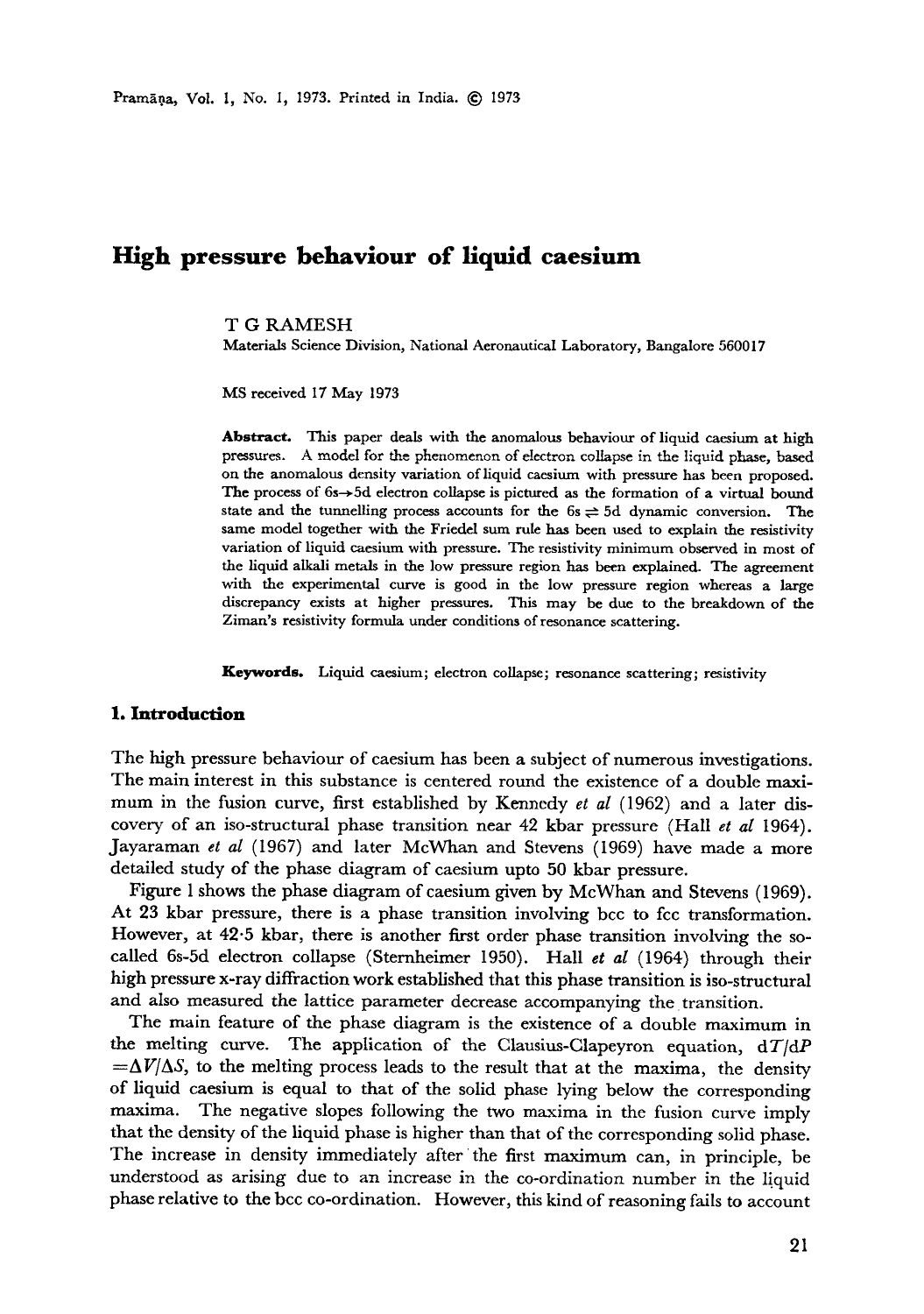# **High pressure behaviour of liquid caesium**

**T G** RAMESH

Materials Science Division, National Aeronautical Laboratory, Bangalore 560017

MS received 17 May 1973

**Abstract.** This paper deals with the anomalous behaviour of liquid caesium at high pressures. A model for the phenomenon of electron collapse in the liquid phase, based on the anomalous density variation of liquid caesium with pressure has been proposed. The process of  $6s \rightarrow 5d$  electron collapse is pictured as the formation of a virtual bound state and the tunnelling process accounts for the  $6s \rightleftharpoons 5d$  dynamic conversion. The same model together with the Friedel sum rule has been used to explain the resistivity variation of liquid caesium with pressure. The resistivity minimum observed in most of the liquid alkali metals in the low pressure region has been explained. The agreement with the experimental curve is good in the low pressure region whereas a large discrepancy exists at higher pressures. This may be due to the breakdown of the Ziman's resistivity formula under conditions of resonance scattering.

**Keywords.** Liquid caesium; electron collapse; resonance scattering; resistivity

#### **I. Introduction**

The high pressure behaviour of caesium has been a subject of numerous investigations. The main interest in this substance is centered round the existence of a double maximum in the fusion curve, first established by Kennedy *et al* (1962) and a later discovery of an iso-structural phase transition near 42 kbar pressure (Hall *et al* 1964). Jayaraman *et al* (1967) and later McWhan and Stevens (1969) have made a more detailed study of the phase diagram of caesium upto 50 kbar pressure.

Figure 1 shows the phase diagram of caesium given by McWhan and Stevens (1969). At 23 kbar pressure, there is a phase transition involving bcc to fcc transformation. However, at 42.5 kbar, there is another first order phase transition involving the socalled 6s-5d electron collapse (Sternheimer 1950). Hall *et al* (1964) through their high pressure x-ray diffraction work established that this phase transition is iso-structural and also measured the lattice parameter decrease accompanying the transition.

The main feature of the phase diagram is the existence of a double maximum in the melting curve. The application of the Clausius-Clapeyron equation, *dT/dP*   $=\Delta V/\Delta S$ , to the melting process leads to the result that at the maxima, the density of liquid caesium is equal to that of the solid phase lying below the corresponding maxima. The negative slopes following the two maxima in the fusion curve imply that the density of the liquid phase is higher than that of the corresponding solid phase. The increase in density immediately after the first maximum can, in principle, be understood as arising due to an increase in the co-ordination number in the liquid phase relative to the bcc co-ordination. However, this kind of reasoning fails to account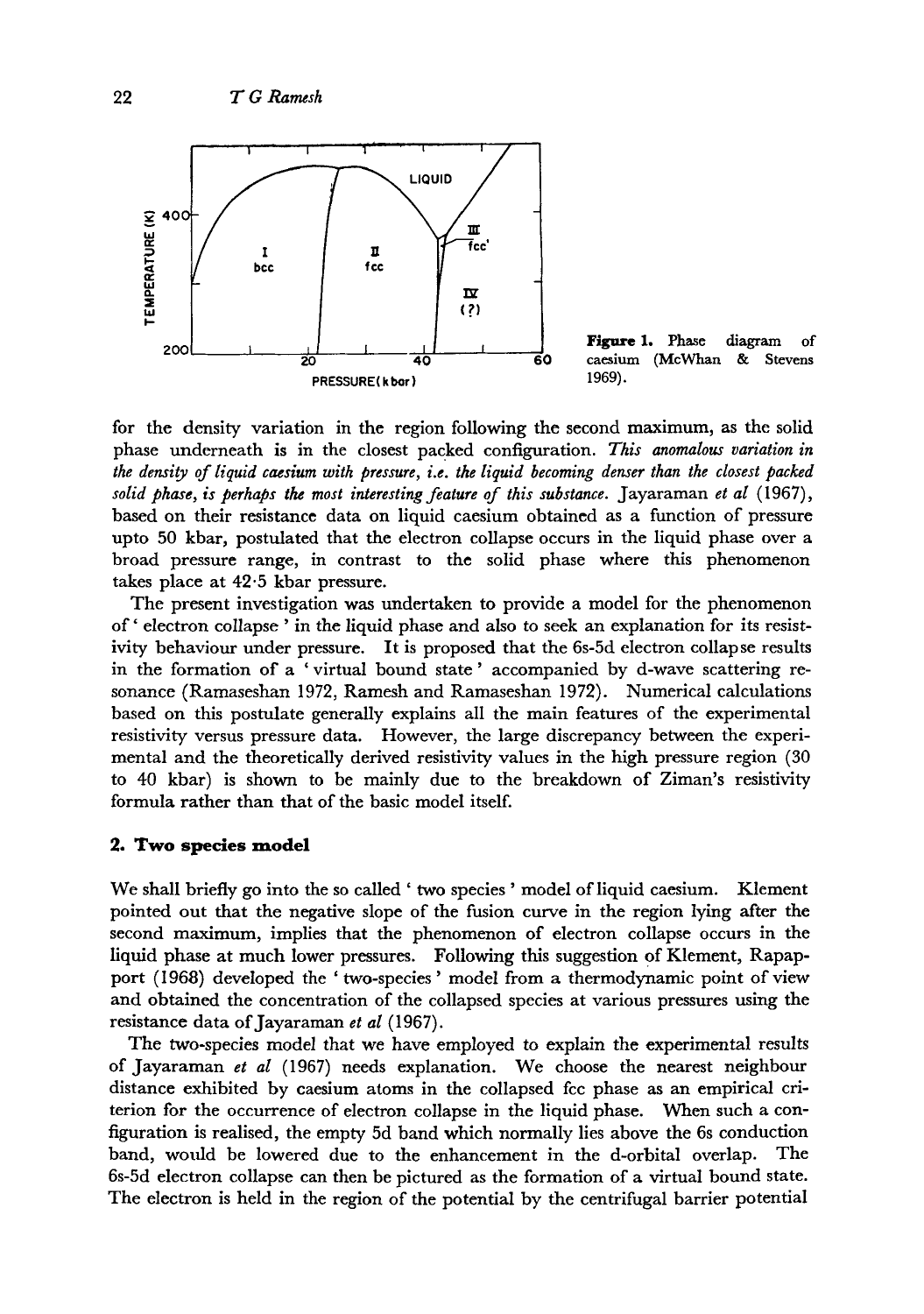

Figure 1. Phase diagram of **60** caesium (McWhan & Stevens 1969).

for the density variation in the region following the second maximum, as the solid phase underneath is in the closest packed configuration. *This anomalous variation in the density of liquid caesium with pressure, i.e. the liquid becoming denser than the closest packed solid phase, is perhaps the most interesting feature of this substance.* Jayaraman *et al* (1967), based on their resistance data on liquid caesium obtained as a function of pressure npto 50 kbar, postulated that the electron collapse occurs in the liquid phase over a broad pressure range, in contrast to the solid phase where this phenomenon takes place at 42.5 kbar pressure.

The present investigation was undertaken to provide a model for the phenomenon of' electron collapse ' in the liquid phase and also to seek an explanation for its resistivity behaviour under pressure. It is proposed that the 6s-5d electron collapse results in the formation of a 'virtual bound state' accompanied by d-wave scattering resonance (Ramaseshan 1972, Ramesh and Ramaseshan 1972). Numerical calculations based on this postulate generally explains all the main features of the experimental resistivity versus pressure data. However, the large discrepancy between the experimental and the theoretically derived resistivity values in the high pressure region (30 to 40 kbar) is shown to be mainly due to the breakdown of Ziman's resistivity formula rather than that of the basic model itself.

#### **2. Two species model**

We shall briefly go into the so called ' two species' model of liquid caesium. Klement pointed out that the negative slope of the fusion curve in the region lying after the second maximum, implies that the phenomenon of electron collapse occurs in the liquid phase at much lower pressures. Following this suggestion of Klement, Rapapport (1968) developed the 'two-species' model from a thermodynamic point of view and obtained the concentration of the collapsed species at various pressures using the resistance data of Jayaraman *et al* (1967).

The two-species model that we have employed to explain the experimental results of Jayaraman *et al* (1967) needs explanation. We choose the nearest neighbour distance exhibited by caesium atoms in the collapsed fcc phase as an empirical criterion for the occurrence of electron collapse in the liquid phase. When such a configuration is realised, the empty 5d band which normally lies above the 6s conduction band, would be lowered due to the enhancement in the d-orbital overlap. The 6s-5d electron collapse can then be pictured as the formation of a virtual bound state. The electron is held in the region of the potential by the centrifugal barrier potential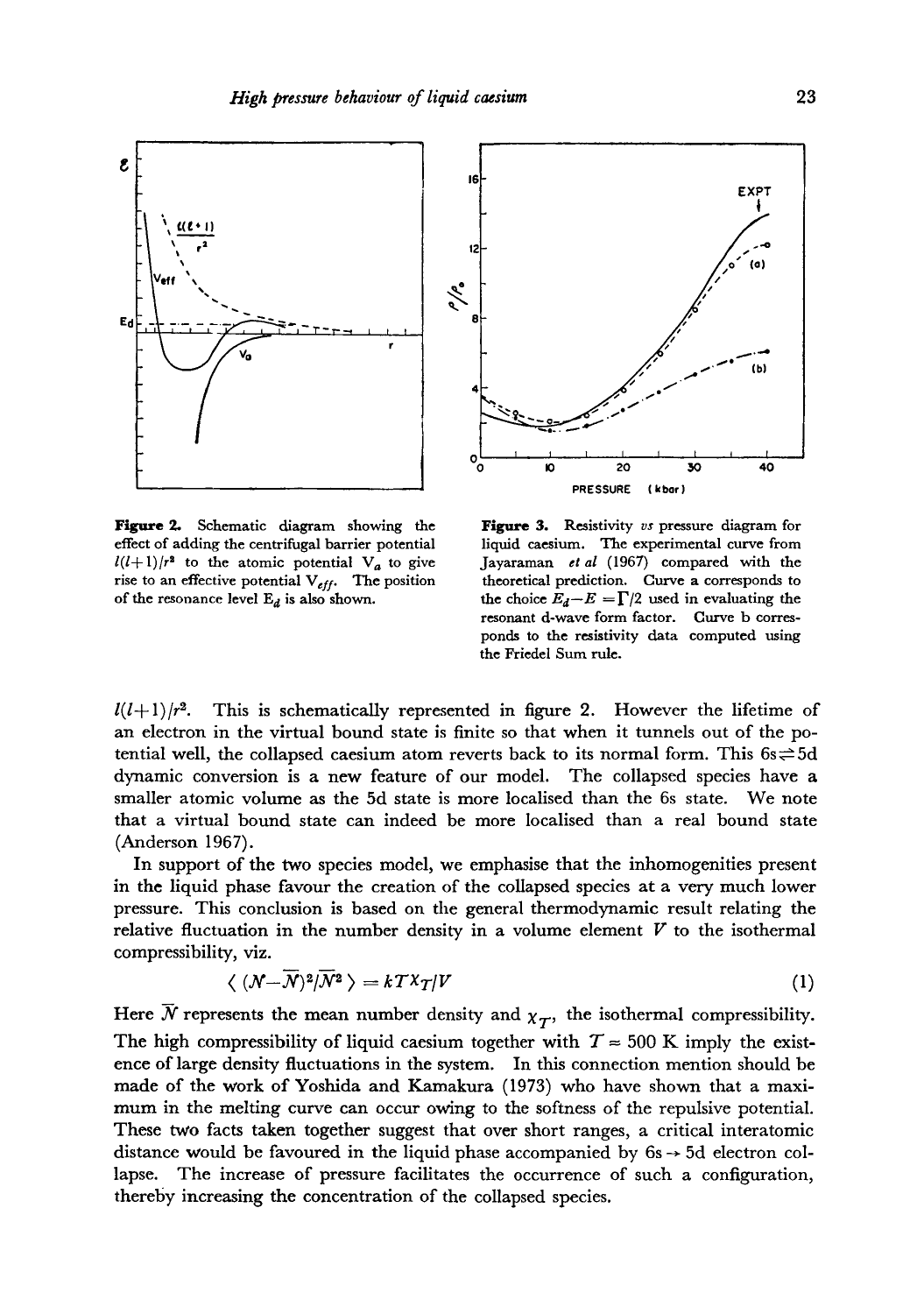

Figure 2. Schematic diagram showing the effect of adding the centrifugal barrier potential  $l(l+1)/r^2$  to the atomic potential  $V_a$  to give rise to an effective potential  $V_{eff}$ . The position of the resonance level  $E_d$  is also shown.



Figure 3. Resistivity *vs* pressure diagram for liquid caesium. The experimental curve from Jayaraman *et al* (1967) compared with the theoretical prediction. Curve a corresponds to the choice  $E_d-E = \Gamma/2$  used in evaluating the resonant d-wave form factor. Curve b corresponds to the resistivity data computed using the Friedel Sum rule.

 $l(l+1)/r^2$ . This is schematically represented in figure 2. However the lifetime of an electron in the virtual bound state is finite so that when it tunnels out of the potential well, the collapsed caesium atom reverts back to its normal form. This  $6s \rightleftharpoons 5d$ dynamic conversion is a new feature of our model. The collapsed species have a smaller atomic volume as the 5d state is more localised than the 6s state. We note that a virtual bound state can indeed be more localised than a real bound state (Anderson 1967).

In support of the two species model, we emphasise that the inhomogenities present in the liquid phase favour the creation of the collapsed species at a very much lower pressure. This conclusion is based on the general thermodynamic result relating the relative fluctuation in the number density in a volume element  $V$  to the isothermal compressibility, viz.

$$
\langle (N - \overline{N})^2 / \overline{N}^2 \rangle = k T^2 T / V \tag{1}
$$

Here  $\bar{N}$  represents the mean number density and  $\chi_T$ , the isothermal compressibility. The high compressibility of liquid caesium together with  $T \approx 500$  K imply the existence of large density fluctuations in the system. In this connection mention should be made of the work of Yoshlda and Kamakura (1973) who have shown that a maximum in the melting curve can occur owing to the softness of the repulsive potential. These two facts taken together suggest that over short ranges, a critical interatomic distance would be favoured in the liquid phase accompanied by  $6s \rightarrow 5d$  electron collapse. The increase of pressure facilitates the occurrence of such a configuration, thereby increasing the concentration of the collapsed species.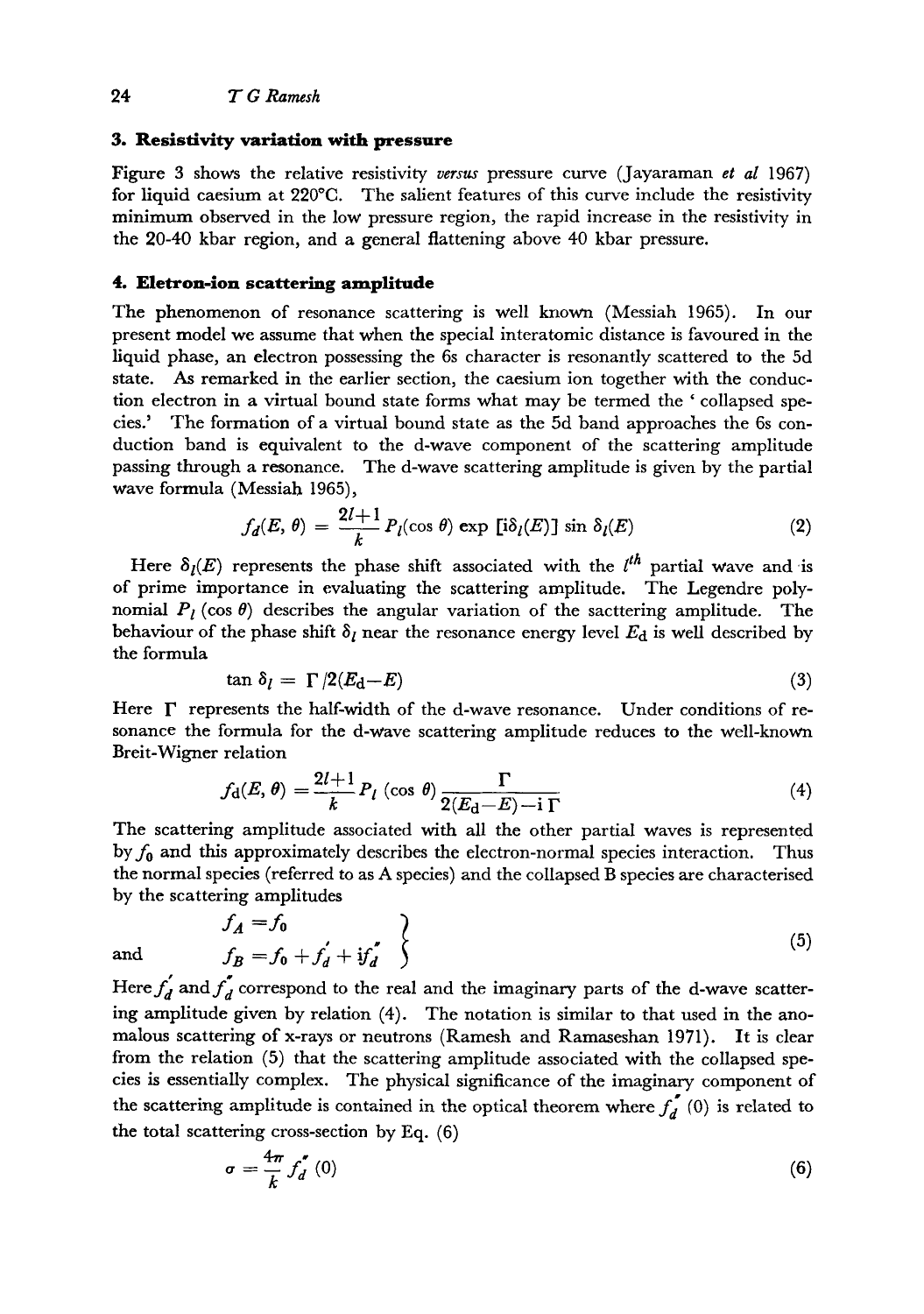#### **3. Resistivity variation with pressure**

Figure 3 shows the relative resistivity *versus* pressure curve (Jayaraman *et al* 1967) for liquid caesium at  $220^{\circ}$ C. The salient features of this curve include the resistivity minimum observed in the low pressure region, the rapid increase in the resistivity in the 20-40 kbar region, and a general flattening above 40 kbar pressure.

# **4. Eletron-ion scattering amplitude**

The phenomenon of resonance scattering is well known (Messiah 1965). In our present model we assume that when the special interatomic distance is favoured in the liquid phase, an electron possessing the 6s character is resonantly scattered to the 5d state. As remarked in the earlier section, the caesium ion together with the conduction electron in a virtual bound state forms what may be termed the ' collapsed species.' The formation of a virtual bound state as the 5d band approaches the 6s conduction band is equivalent to the d-wave component of the scattering amplitude passing through a resonance. The d-wave scattering amplitude is given by the partial wave formula (Messiah 1965),

$$
f_d(E, \theta) = \frac{2l+1}{k} P_l(\cos \theta) \exp [\mathbf{i}\delta_l(E)] \sin \delta_l(E)
$$
 (2)

Here  $\delta_l(E)$  represents the phase shift associated with the  $l^{th}$  partial wave and is of prime importance in evaluating the scattering amplitude. The Legendre polynomial  $P_l$  (cos  $\theta$ ) describes the angular variation of the sacttering amplitude. The behaviour of the phase shift  $\delta_l$  near the resonance energy level  $E_d$  is well described by the formula

$$
\tan \delta_l = \Gamma / 2(E_{\rm d} - E) \tag{3}
$$

Here  $\Gamma$  represents the half-width of the d-wave resonance. Under conditions of resonance the formula for the d-wave scattering amplitude reduces to the well-known Breit-Wigner relation

$$
f_{\mathbf{d}}(E,\theta) = \frac{2l+1}{k} P_l \left( \cos \theta \right) \frac{\Gamma}{2(E_{\mathbf{d}}-E) - i \Gamma} \tag{4}
$$

The scattering amplitude associated with all the other partial waves is represented by  $f_0$  and this approximately describes the electron-normal species interaction. Thus the normal species (referred to as A species) and the collapsed B species are characterised by the scattering amplitudes

$$
f_A = f_0
$$
  
and  

$$
f_B = f_0 + f'_d + if'_d
$$
 (5)

Here  $f_d$  and  $f_d$  correspond to the real and the imaginary parts of the d-wave scattering amplitude given by relation (4). The notation is similar to that used in the anomalous scattering of x-rays or neutrons (Ramesh and Ramaseshan 1971). It is clear from the relation (5) that the scattering amplitude associated with the collapsed species is essentially complex. The physical significance of the imaginary component of the scattering amplitude is contained in the optical theorem where  $f_d^{\prime}$  (0) is related to the total scattering cross-section by Eq. (6)

$$
\sigma = \frac{4\pi}{k} f_d^{'}\left(0\right) \tag{6}
$$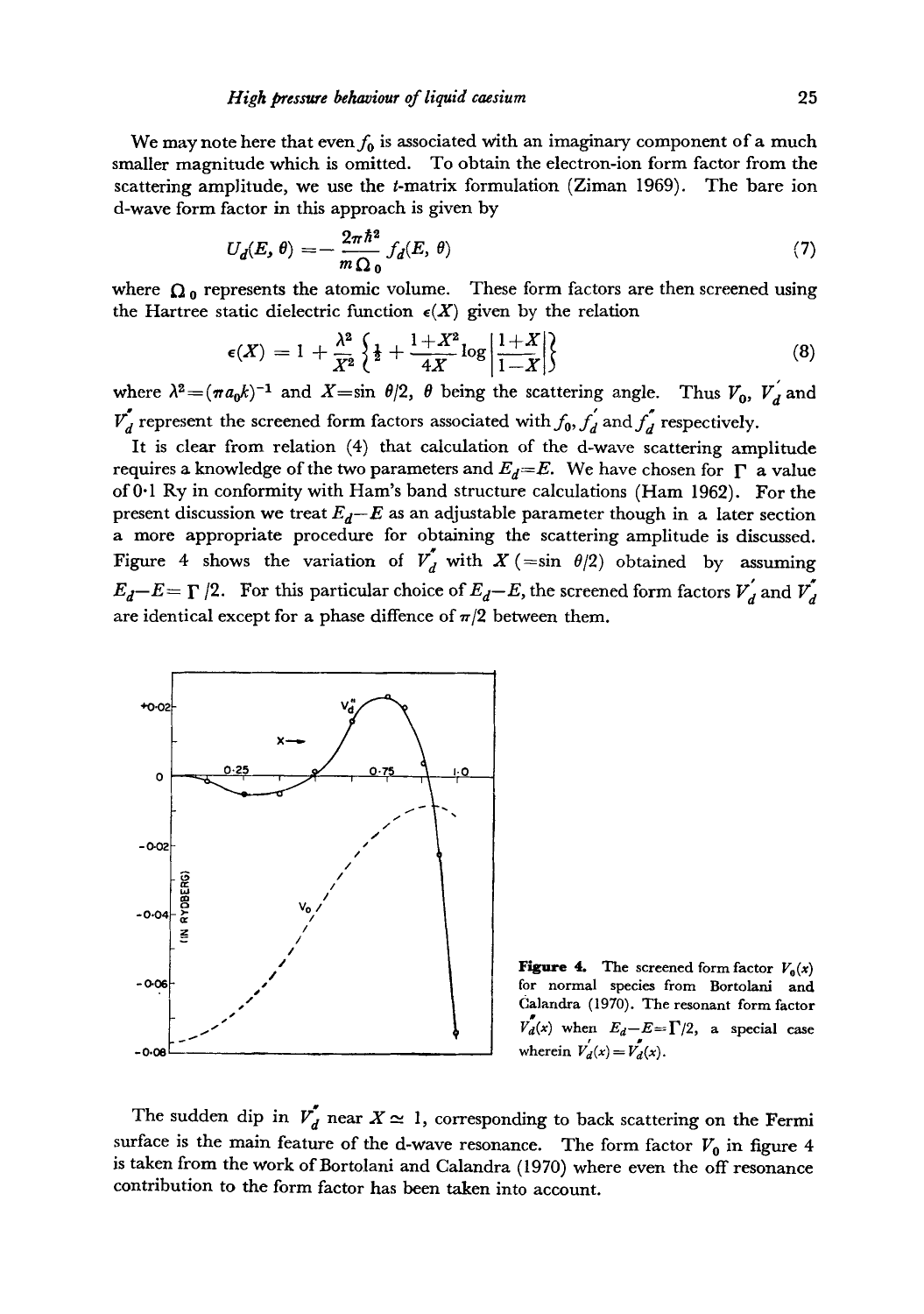We may note here that even  $f_0$  is associated with an imaginary component of a much smaller magnitude which is omitted. To obtain the electron-ion form factor from the scattering amplitude, we use the t-matrix formulation (Ziman 1969). The bare ion d-wave form factor in this approach is given by

$$
U_d(E,\theta) = -\frac{2\pi\hbar^2}{m\Omega_0} f_d(E,\theta)
$$
\n(7)

where  $\Omega_0$  represents the atomic volume. These form factors are then screened using the Hartree static dielectric function  $\epsilon(X)$  given by the relation

$$
\epsilon(X) = 1 + \frac{\lambda^2}{X^2} \left\{ \frac{1}{2} + \frac{1+X^2}{4X} \log \left| \frac{1+X}{1-X} \right| \right\} \tag{8}
$$

where  $\lambda^2 = (\pi a_0 k)^{-1}$  and  $X = \sin \theta/2$ ,  $\theta$  being the scattering angle. Thus  $V_0$ ,  $V_d$  and  $\overline{V}_d$  represent the screened form factors associated with  $f_0$ ,  $f_d$  and  $f_d$  respectively.

It is clear from relation (4) that calculation of the d-wave scattering amplitude requires a knowledge of the two parameters and  $E_d=E$ . We have chosen for  $\Gamma$  a value of 0.1 Ry in conformity with Ham's band structure calculations (Ham 1962). For the present discussion we treat  $E_d - E$  as an adjustable parameter though in a later section a more appropriate procedure for obtaining the scattering amplitude is discussed. Figure 4 shows the variation of  $V'_{d}$  with  $X$  (=sin  $\theta/2$ ) obtained by assuming  $E_d-E=\Gamma/2$ . For this particular choice of  $E_d-E$ , the screened form factors  $V'_d$  and  $V'_d$ are identical except for a phase diffence of  $\pi/2$  between them.



**Figure 4.** The screened form factor  $V_0(x)$ for normal species from Bortolani **and**  Calandra (1970). The resonant form factor  $v_d(x)$  when  $E_d - E = \Gamma/2$ , a special case wherein  $V'_d(x) = V'_d(x)$ .

The sudden dip in  $V_d$  near  $X \simeq 1$ , corresponding to back scattering on the Fermi surface is the main feature of the d-wave resonance. The form factor  $V_0$  in figure 4 is taken from the work of Bortolani and Calandra (1970) where even the off resonance contribution to the form factor has been taken into account.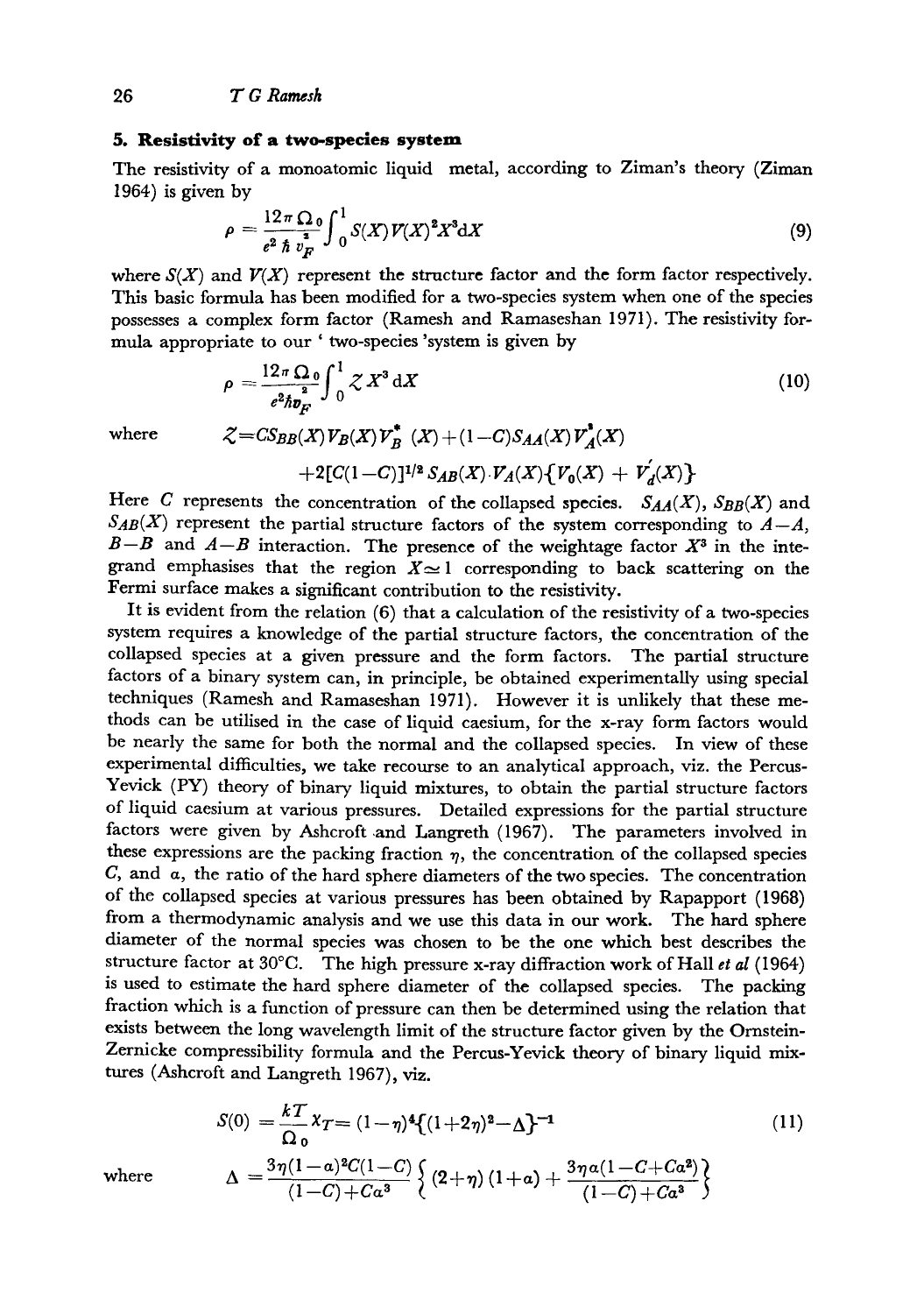#### **5. Resistivity of a two-species system**

The resistivity of a monoatomic liquid metal, according to Ziman's theory (Ziman 1964) is given by

$$
\rho = \frac{12\pi\Omega_0}{e^2\hbar v_F^2} \int_0^1 S(X) V(X)^2 X^3 dX \tag{9}
$$

where  $S(X)$  and  $V(X)$  represent the structure factor and the form factor respectively. This basic formula has been modified for a two-species system when one of the species possesses a complex form factor (Ramesh and Ramaseshan 1971). The resistivity formula appropriate to our ' two-species 'system is given by

$$
\rho = \frac{12\pi\Omega_0}{e^2\hbar v_F^2} \int_0^1 \mathcal{Z} X^3 \, \mathrm{d}X \tag{10}
$$

where 
$$
\mathcal{Z} = CS_{BB}(X)V_B(X)V_B^*(X) + (1-C)S_{AA}(X)V_A^*(X) + 2[C(1-C)]^{1/2}S_{AB}(X)\cdot V_A(X)\{V_0(X) + V_A^{'}(X)\}
$$

Here C represents the concentration of the collapsed species.  $S_{AA}(X)$ ,  $S_{BB}(X)$  and  $S_{AB}(X)$  represent the partial structure factors of the system corresponding to  $A-A$ ,  $B-B$  and  $A-B$  interaction. The presence of the weightage factor  $X<sup>3</sup>$  in the integrand emphasises that the region  $X \approx 1$  corresponding to back scattering on the Fermi surface makes a significant contribution to the resistivity.

It is evident from the relation (6) that a calculation of the resistivity of a two-species system requires a knowledge of the partial structure factors, the concentration of the collapsed species at a given pressure and the form factors. The partial structure factors of a binary system can, in principle, be obtained experimentally using special techniques (Ramesh and Ramaseshan 1971). However it is unlikely that these methods can be utilised in the case of liquid caesium, for the x-ray form factors would be nearly the same for both the normal and the collapsed species. In view of these experimental difficulties, we take recourse to an analytical approach, viz. the Percus-Yevick (PY) theory of binary liquid mixtures, to obtain the partial structure factors of liquid caesium at various pressures. Detailed expressions for the partial structure factors were given by Ashcroft and Langreth (1967). The parameters involved in these expressions are the packing fraction  $\eta$ , the concentration of the collapsed species  $C$ , and  $\alpha$ , the ratio of the hard sphere diameters of the two species. The concentration of the collapsed species at various pressures has been obtained by Rapapport (1968) from a thermodynamic analysis and we use this data in our work. The hard sphere diameter of the normal species was chosen to be the one which best describes the structure factor at 30°C. The high pressure x-ray diffraction work of Hall *et al* (1964) is used to estimate the hard sphere diameter of the collapsed species. The packing fraction which is a function of pressure can then be determined using the relation that exists between the long wavelength limit of the structure factor given by the Ornstein-Zernicke compressibility formula and the Percus-Yevick theory of binary liquid mixtures (Ashcroft and Langreth 1967), viz.

$$
S(0) = \frac{kT}{\Omega_0} \chi_T = (1 - \eta)^4 \{ (1 + 2\eta)^2 - \Delta \}^{-1}
$$
\n
$$
\Delta = \frac{3\eta (1 - \alpha)^2 C (1 - C)}{(1 - C) \left\{ (2 + \eta) (1 + \alpha) + \frac{3\eta \alpha (1 - C + C\alpha^2)}{(1 - C) \left( C - \alpha^2 \right)^2} \right\}}
$$
\n(11)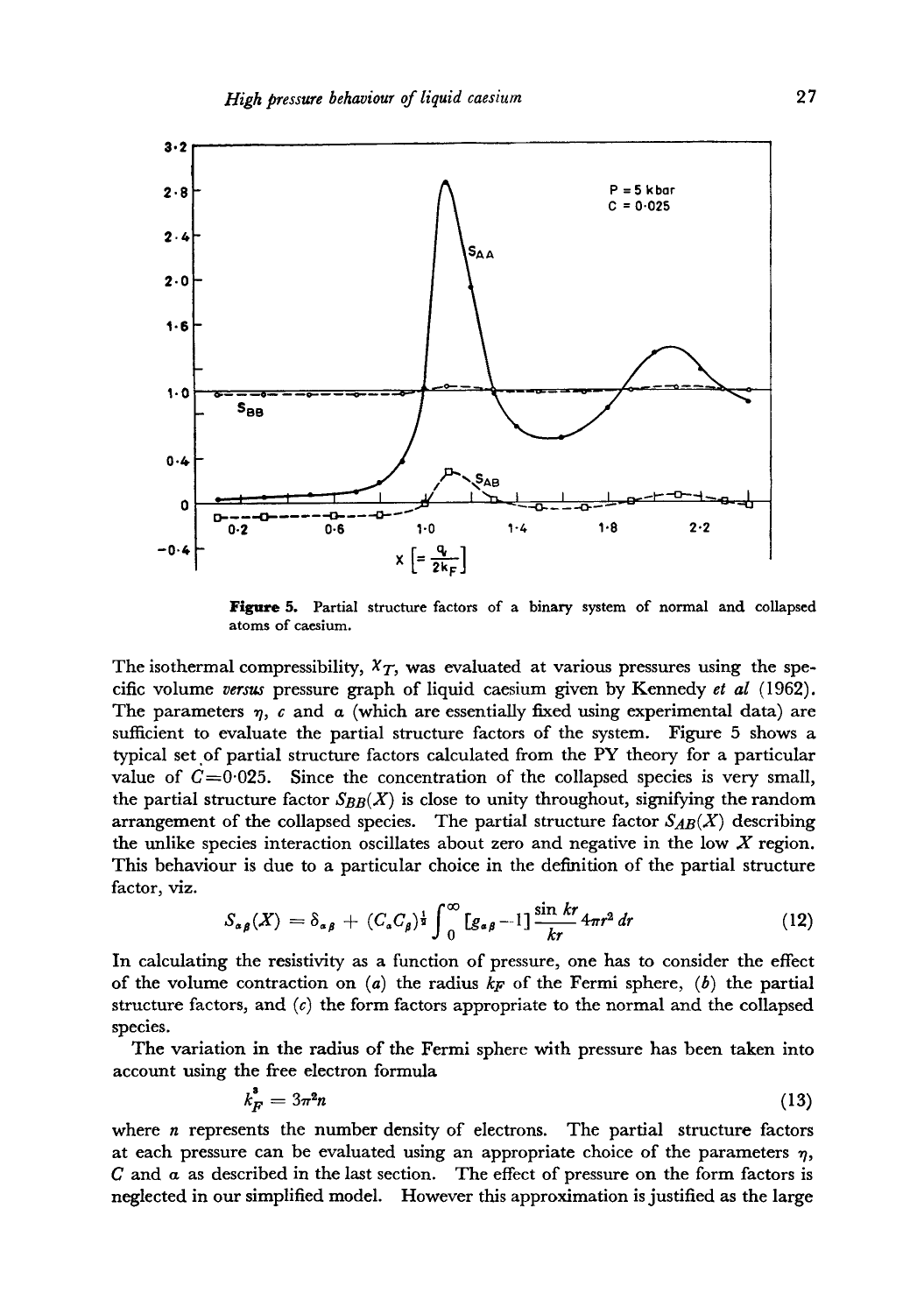

Figure 5. Partial structure factors of a binary system of normal and collapsed **atoms of caesium.** 

The isothermal compressibility,  $X_T$ , was evaluated at various pressures using the specific volume *versus* pressure graph of liquid caesium given by Kennedy *et al* (1962). The parameters  $\eta$ ,  $\epsilon$  and  $\alpha$  (which are essentially fixed using experimental data) are sufficient to evaluate the partial structure factors of the system. Figure 5 shows a typical set of partial structure factors calculated from the PY theory for a particular value of  $C=0.025$ . Since the concentration of the collapsed species is very small, the partial structure factor  $S_{BB}(X)$  is close to unity throughout, signifying the random arrangement of the collapsed species. The partial structure factor  $S_{AB}(X)$  describing the unlike species interaction oscillates about zero and negative in the low X region. This behaviour is due to a particular choice in the definition of the partial structure factor, viz.

$$
S_{\alpha\beta}(X) = \delta_{\alpha\beta} + (C_{\alpha}C_{\beta})^{\frac{1}{2}} \int_0^{\infty} [g_{\alpha\beta} - 1] \frac{\sin kr}{kr} 4\pi r^2 dr \qquad (12)
$$

In calculating the resistivity as a function of pressure, one has to consider the effect of the volume contraction on  $(a)$  the radius  $k_F$  of the Fermi sphere,  $(b)$  the partial structure factors, and  $(c)$  the form factors appropriate to the normal and the collapsed species.

The variation in the radius of the Fermi sphere with pressure has been taken into account using the free electron formula

$$
k_F^* = 3\pi^2 n \tag{13}
$$

where  $n$  represents the number density of electrons. The partial structure factors at each pressure can be evaluated using an appropriate choice of the parameters  $\eta$ ,  $C$  and  $\alpha$  as described in the last section. The effect of pressure on the form factors is neglected in our simplified model. However this approximation is justified as the large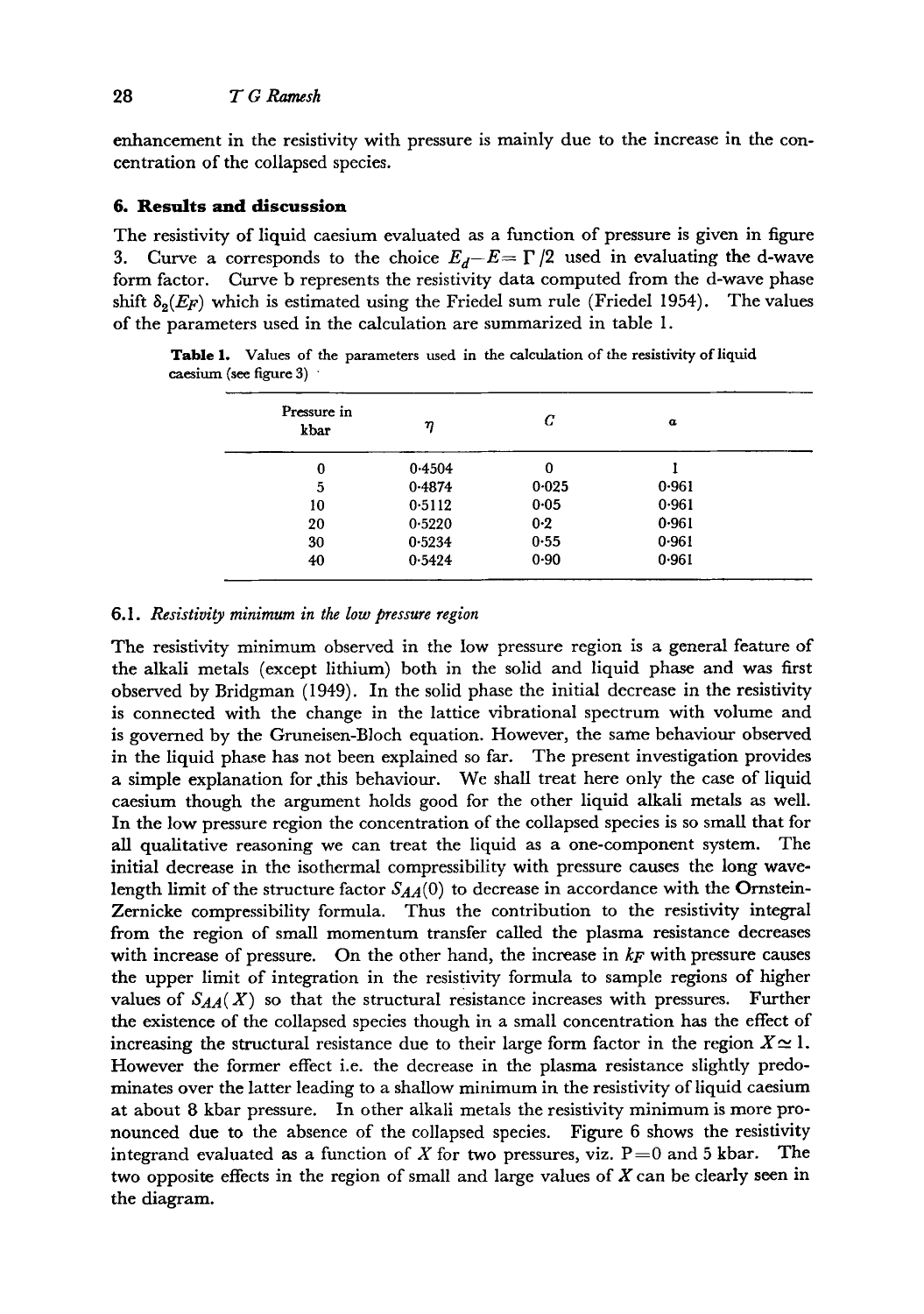enhancement in the resistivity with pressure is mainly due to the increase in the concentration of the collapsed species.

### **6. Results and discussion**

The resistivity of liquid caesium evaluated as a function of pressure is given in figure 3. Curve a corresponds to the choice  $E_d - E = \Gamma/2$  used in evaluating the d-wave form factor. Curve b represents the resistivity data computed from the d-wave phase shift  $\delta_2(E_F)$  which is estimated using the Friedel sum rule (Friedel 1954). The values of the parameters used in the calculation are summarized in table 1.

Table 1. Values of the parameters used in the calculation of the resistivity of liquid caesium (see figure 3) '

| Pressure in<br>kbar | η      | C       | $\alpha$ |  |
|---------------------|--------|---------|----------|--|
| 0                   | 0.4504 | 0       |          |  |
| 5                   | 0.4874 | 0.025   | 0.961    |  |
| 10                  | 0.5112 | 0.05    | 0.961    |  |
| 20                  | 0.5220 | $0 - 2$ | 0.961    |  |
| 30                  | 0.5234 | 0.55    | 0.961    |  |
| 40                  | 0.5424 | 0.90    | 0.961    |  |

#### *6.1. Resistivity minimum in the low pressure region*

The resistivity minimum observed in the low pressure region is a general feature of the alkali metals (except lithium) both in the solid and liquid phase and was first observed by Bridgman (1949). In the solid phase the initial decrease in the resistivity is connected with the change in the lattice vibrational spectrum with volume and is governed by the Gruneisen-Bloch equation. However, the same behaviour observed in the liquid phase has not been explained so far. The present investigation provides a simple explanation for .this behaviour. We shall treat here only the case of liquid caesium though the argument holds good for the other liquid alkali metals as well. In the low pressure region the concentration of the collapsed species is so small that for all qualitative reasoning we can treat the liquid as a one-component system. The initial decrease in the isothermal compressibility with pressure causes the long wavelength limit of the structure factor  $S_{AA}(0)$  to decrease in accordance with the Ornstein-Zernicke compressibility formula. Thus the contribution to the resistivity integral from the region of small momentum transfer called the plasma resistance decreases with increase of pressure. On the other hand, the increase in *kF* with pressure causes the upper limit of integration in the resistivity formula to sample regions of higher values of  $S_{AA}(X)$  so that the structural resistance increases with pressures. Further the existence of the collapsed species though in a small concentration has the effect of increasing the structural resistance due to their large form factor in the region  $X \approx 1$ . However the former effect i.e. the decrease in the plasma resistance slightly predominates over the latter leading to a shallow minimum in the resistivity of liquid caesium at about 8 kbar pressure. In other alkali metals the resistivity minimum is more pronounced due to the absence of the collapsed species. Figure 6 shows the resistivity integrand evaluated as a function of X for two pressures, viz.  $P=0$  and 5 kbar. The two opposite effects in the region of small and large values of  $X$  can be clearly seen in the diagram.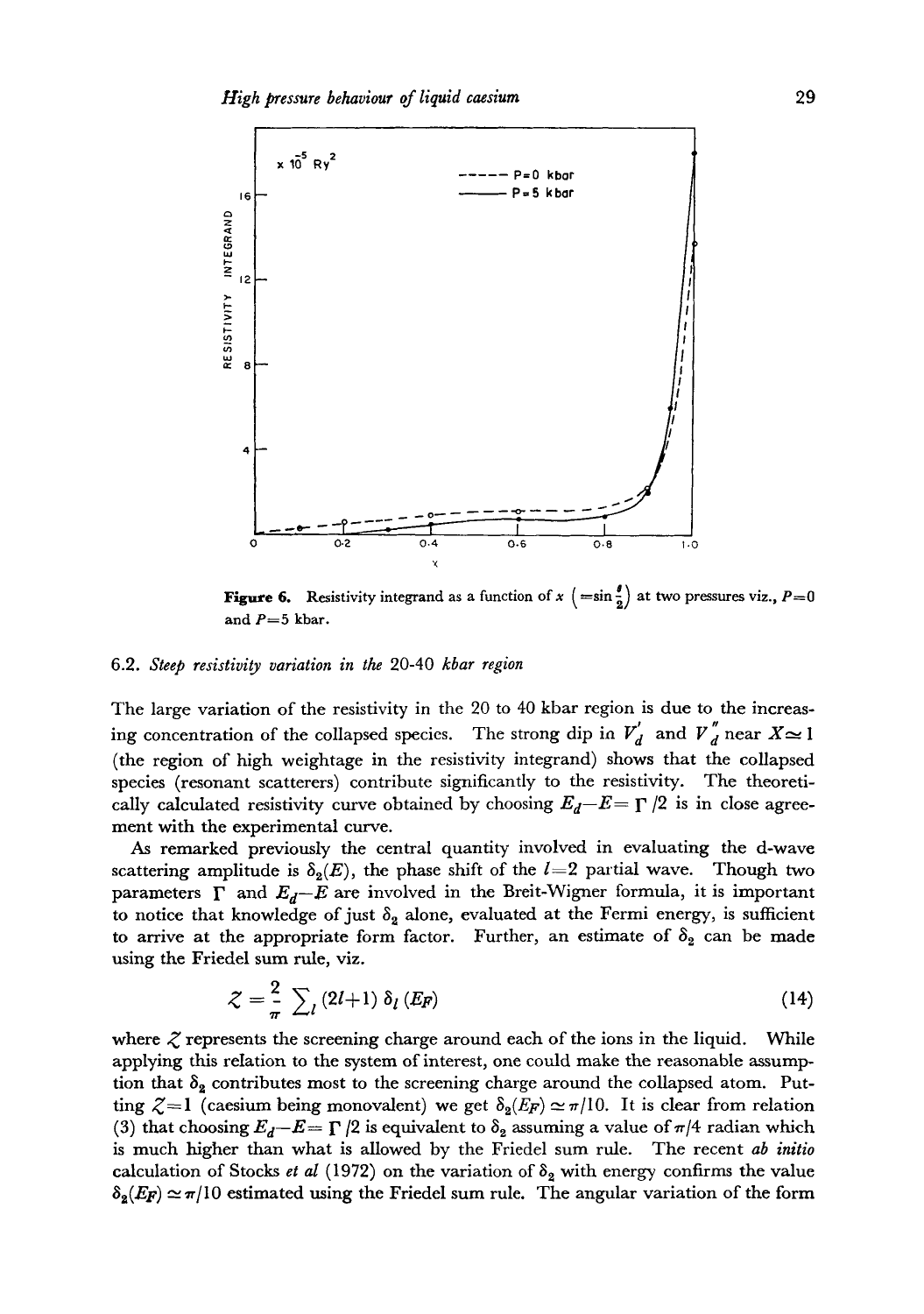

**Figure 6.** Resistivity integrand as a function of  $x \left( = \sin \frac{\theta}{2} \right)$  at two pressures viz.,  $P = 0$ and  $P=5$  kbar.

#### 6.2. *Steep resistivity variation in the* 20-40 *kbar region*

The large variation of the resistivity in the 20 to 40 kbar region is due to the increasing concentration of the collapsed species. The strong dip in  $V'_d$  and  $V''_d$  near  $X \approx 1$ (the region of high weightage in the resistivity integrand) shows that the collapsed species (resonant scatterers) contribute significantly to the resistivity. The theoretically calculated resistivity curve obtained by choosing  $E_d-E=\Gamma/2$  is in close agreement with the experimental curve.

As remarked previously the central quantity involved in evaluating the d-wave scattering amplitude is  $\delta_2(E)$ , the phase shift of the  $l=2$  partial wave. Though two parameters  $\Gamma$  and  $E_d-E$  are involved in the Breit-Wigner formula, it is important to notice that knowledge of just  $\delta_2$  alone, evaluated at the Fermi energy, is sufficient to arrive at the appropriate form factor. Further, an estimate of  $\delta_2$  can be made using the Friedel sum rule, viz.

$$
\mathcal{Z} = \frac{2}{\pi} \sum_{l} (2l+1) \, \delta_l \left( E_F \right) \tag{14}
$$

where  $\zeta$  represents the screening charge around each of the ions in the liquid. While applying this reIation to the system of interest, one could make the reasonable assumption that  $\delta_2$  contributes most to the screening charge around the collapsed atom. Putting  $\zeta = 1$  (caesium being monovalent) we get  $\delta_2(E_F) \simeq \pi/10$ . It is clear from relation (3) that choosing  $E_d-E=\Gamma/2$  is equivalent to  $\delta_2$  assuming a value of  $\pi/4$  radian which is much higher than what is allowed by the Friedel sum rule. The recent *ab initio*  calculation of Stocks *et al* (1972) on the variation of  $\delta_2$  with energy confirms the value  $\delta_2(E_F) \simeq \pi/10$  estimated using the Friedel sum rule. The angular variation of the form